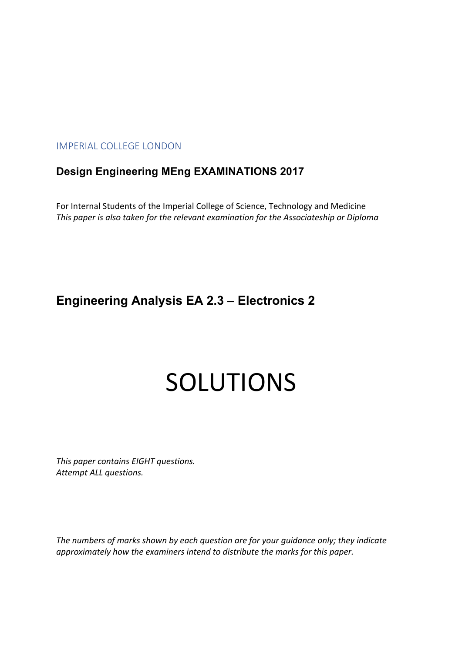## IMPERIAL COLLEGE LONDON

# **Design Engineering MEng EXAMINATIONS 2017**

For Internal Students of the Imperial College of Science, Technology and Medicine *This paper is also taken for the relevant examination for the Associateship or Diploma*

# **Engineering Analysis EA 2.3 – Electronics 2**

# SOLUTIONS

*This paper contains EIGHT questions. Attempt ALL questions.* 

*The numbers of marks shown by each question are for your guidance only; they indicate approximately how the examiners intend to distribute the marks for this paper.*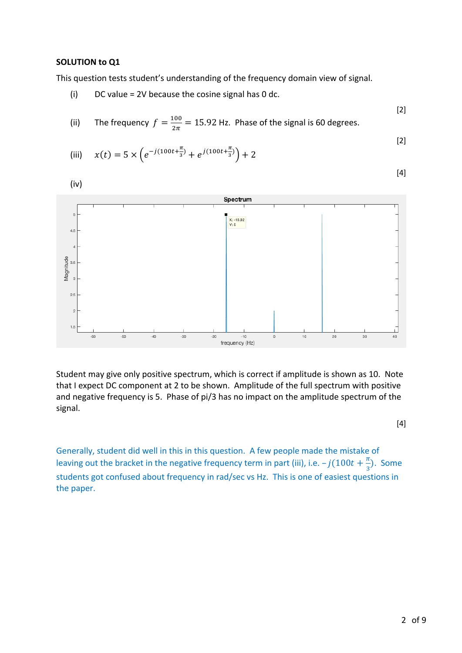#### **SOLUTION to Q1**

This question tests student's understanding of the frequency domain view of signal.

(i) DC value = 2V because the cosine signal has 0 dc.

(ii) The frequency 
$$
f = \frac{100}{2\pi} = 15.92
$$
 Hz. Phase of the signal is 60 degrees.

(iii) 
$$
x(t) = 5 \times \left( e^{-j(100t + \frac{\pi}{3})} + e^{j(100t + \frac{\pi}{3})} \right) + 2
$$
 [2]



Student may give only positive spectrum, which is correct if amplitude is shown as 10. Note that I expect DC component at 2 to be shown. Amplitude of the full spectrum with positive and negative frequency is 5. Phase of pi/3 has no impact on the amplitude spectrum of the signal.

[4]

[2]

 $[4]$ 

Generally, student did well in this in this question. A few people made the mistake of leaving out the bracket in the negative frequency term in part (iii), i.e.  $-j(100t+\frac{\pi}{3})$ . Some students got confused about frequency in rad/sec vs Hz. This is one of easiest questions in the paper.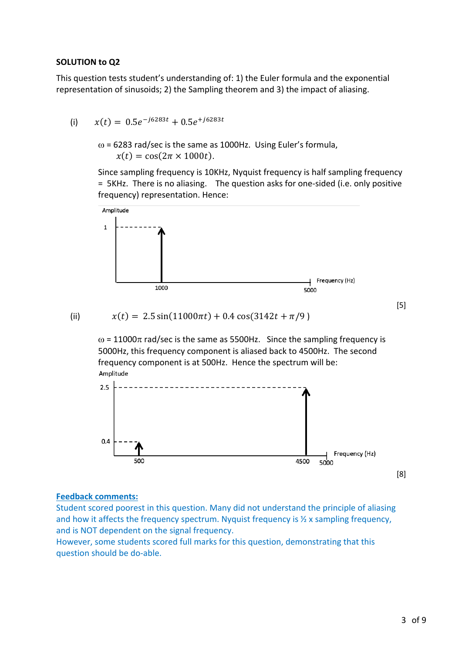#### **SOLUTION to Q2**

This question tests student's understanding of: 1) the Euler formula and the exponential representation of sinusoids; 2) the Sampling theorem and 3) the impact of aliasing.

- (i)  $x(t) = 0.5e^{-j6283t} + 0.5e^{+j6283t}$ 
	- $\omega$  = 6283 rad/sec is the same as 1000Hz. Using Euler's formula,  $x(t) = \cos(2\pi \times 1000t)$ .

Since sampling frequency is 10KHz, Nyquist frequency is half sampling frequency = 5KHz. There is no aliasing. The question asks for one-sided (i.e. only positive frequency) representation. Hence:



$$
\overline{f(i)}
$$

(ii)  $x(t) = 2.5 \sin(11000 \pi t) + 0.4 \cos(3142 t + \pi/9)$ 

 $\omega$  = 11000 $\pi$  rad/sec is the same as 5500Hz. Since the sampling frequency is 5000Hz, this frequency component is aliased back to 4500Hz. The second frequency component is at 500Hz. Hence the spectrum will be: Amplitude



#### **Feedback comments:**

Student scored poorest in this question. Many did not understand the principle of aliasing and how it affects the frequency spectrum. Nyquist frequency is ½ x sampling frequency, and is NOT dependent on the signal frequency.

However, some students scored full marks for this question, demonstrating that this question should be do-able.

[5]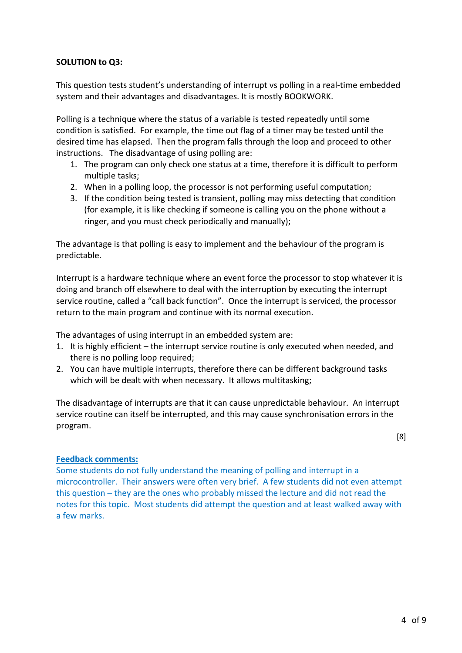#### **SOLUTION to Q3:**

This question tests student's understanding of interrupt vs polling in a real-time embedded system and their advantages and disadvantages. It is mostly BOOKWORK.

Polling is a technique where the status of a variable is tested repeatedly until some condition is satisfied. For example, the time out flag of a timer may be tested until the desired time has elapsed. Then the program falls through the loop and proceed to other instructions. The disadvantage of using polling are:

- 1. The program can only check one status at a time, therefore it is difficult to perform multiple tasks;
- 2. When in a polling loop, the processor is not performing useful computation;
- 3. If the condition being tested is transient, polling may miss detecting that condition (for example, it is like checking if someone is calling you on the phone without a ringer, and you must check periodically and manually);

The advantage is that polling is easy to implement and the behaviour of the program is predictable.

Interrupt is a hardware technique where an event force the processor to stop whatever it is doing and branch off elsewhere to deal with the interruption by executing the interrupt service routine, called a "call back function". Once the interrupt is serviced, the processor return to the main program and continue with its normal execution.

The advantages of using interrupt in an embedded system are:

- 1. It is highly efficient the interrupt service routine is only executed when needed, and there is no polling loop required;
- 2. You can have multiple interrupts, therefore there can be different background tasks which will be dealt with when necessary. It allows multitasking;

The disadvantage of interrupts are that it can cause unpredictable behaviour. An interrupt service routine can itself be interrupted, and this may cause synchronisation errors in the program.

[8]

#### **Feedback comments:**

Some students do not fully understand the meaning of polling and interrupt in a microcontroller. Their answers were often very brief. A few students did not even attempt this question – they are the ones who probably missed the lecture and did not read the notes for this topic. Most students did attempt the question and at least walked away with a few marks.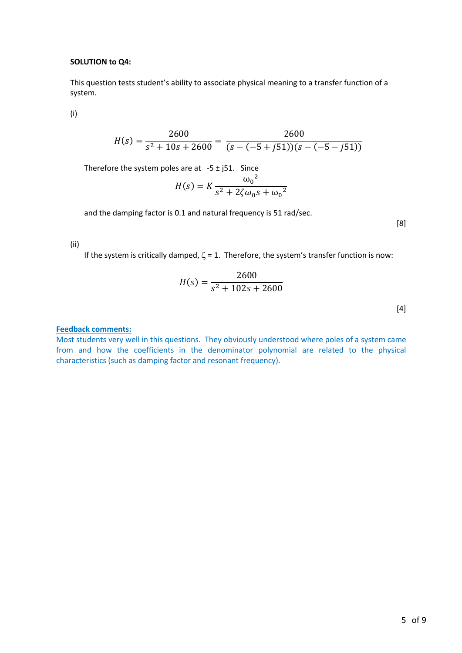#### **SOLUTION to Q4:**

This question tests student's ability to associate physical meaning to a transfer function of a system.

(i)

$$
H(s) = \frac{2600}{s^2 + 10s + 2600} = \frac{2600}{(s - (-5 + j51))(s - (-5 - j51))}
$$

Therefore the system poles are at  $-5 \pm j51$ . Since

$$
H(s) = K \frac{{\omega_0}^2}{s^2 + 2\zeta \omega_0 s + {\omega_0}^2}
$$

and the damping factor is 0.1 and natural frequency is 51 rad/sec.

[8]

#### (ii)

If the system is critically damped,  $\zeta$  = 1. Therefore, the system's transfer function is now:

$$
H(s) = \frac{2600}{s^2 + 102s + 2600}
$$

[4]

#### **Feedback comments:**

Most students very well in this questions. They obviously understood where poles of a system came from and how the coefficients in the denominator polynomial are related to the physical characteristics (such as damping factor and resonant frequency).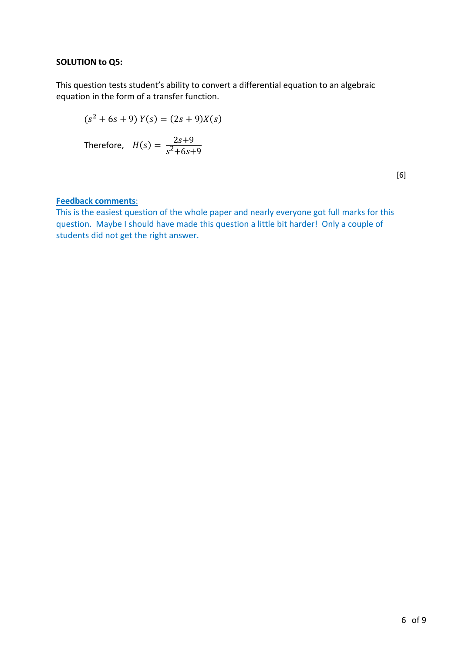#### **SOLUTION to Q5:**

This question tests student's ability to convert a differential equation to an algebraic equation in the form of a transfer function.

$$
(s2 + 6s + 9) Y(s) = (2s + 9)X(s)
$$

Therefore, 
$$
H(s) = \frac{2s+9}{s^2+6s+9}
$$

[6]

### **Feedback comments**:

This is the easiest question of the whole paper and nearly everyone got full marks for this question. Maybe I should have made this question a little bit harder! Only a couple of students did not get the right answer.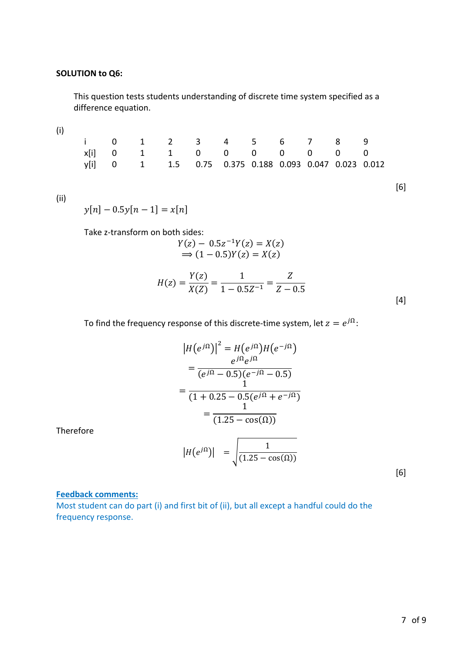#### **SOLUTION to Q6:**

This question tests students understanding of discrete time system specified as a difference equation.

| i 0 1 2 3 4 5 6 7 8 9                                 |  |  |  |  |  |
|-------------------------------------------------------|--|--|--|--|--|
| x[i] 0 1 1 0 0 0 0 0 0 0                              |  |  |  |  |  |
| y[i] 0 1 1.5 0.75 0.375 0.188 0.093 0.047 0.023 0.012 |  |  |  |  |  |

(ii)

 $y[n] - 0.5y[n-1] = x[n]$ 

Take z-transform on both sides:

$$
Y(z) - 0.5z^{-1}Y(z) = X(z)
$$
  
\n
$$
\Rightarrow (1 - 0.5)Y(z) = X(z)
$$

$$
H(z) = \frac{Y(z)}{X(Z)} = \frac{1}{1 - 0.5Z^{-1}} = \frac{Z}{Z - 0.5}
$$
\n[4]

To find the frequency response of this discrete-time system, let  $z = e^{j\Omega}$ :

$$
|H(e^{j\Omega})|^2 = H(e^{j\Omega})H(e^{-j\Omega})
$$
  
= 
$$
\frac{e^{j\Omega}e^{j\Omega}}{(e^{j\Omega} - 0.5)(e^{-j\Omega} - 0.5)}
$$
  
= 
$$
\frac{1}{(1 + 0.25 - 0.5(e^{j\Omega} + e^{-j\Omega}))}
$$
  
= 
$$
\frac{1}{(1.25 - \cos(\Omega))}
$$
  

$$
|H(e^{j\Omega})| = \sqrt{\frac{1}{(1.25 - \cos(\Omega))}}
$$
 [6]

Therefore

#### **Feedback comments:**

Most student can do part (i) and first bit of (ii), but all except a handful could do the frequency response.

[6]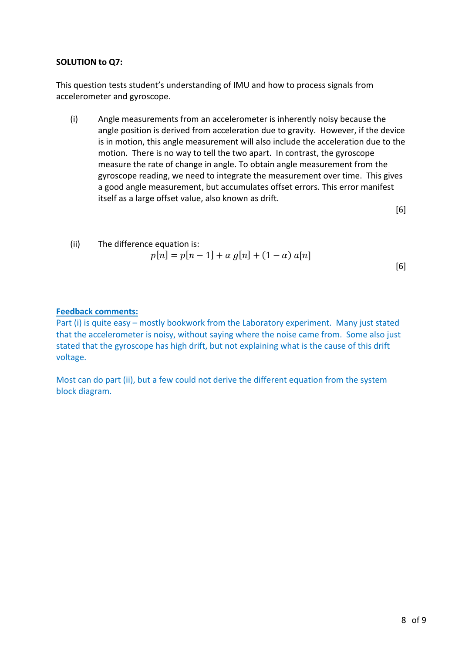#### **SOLUTION to Q7:**

This question tests student's understanding of IMU and how to process signals from accelerometer and gyroscope.

(i) Angle measurements from an accelerometer is inherently noisy because the angle position is derived from acceleration due to gravity. However, if the device is in motion, this angle measurement will also include the acceleration due to the motion. There is no way to tell the two apart. In contrast, the gyroscope measure the rate of change in angle. To obtain angle measurement from the gyroscope reading, we need to integrate the measurement over time. This gives a good angle measurement, but accumulates offset errors. This error manifest itself as a large offset value, also known as drift.

[6]

(ii) The difference equation is:  
\n
$$
p[n] = p[n-1] + \alpha g[n] + (1 - \alpha) a[n]
$$
\n[6]

#### **Feedback comments:**

Part (i) is quite easy – mostly bookwork from the Laboratory experiment. Many just stated that the accelerometer is noisy, without saying where the noise came from. Some also just stated that the gyroscope has high drift, but not explaining what is the cause of this drift voltage.

Most can do part (ii), but a few could not derive the different equation from the system block diagram.